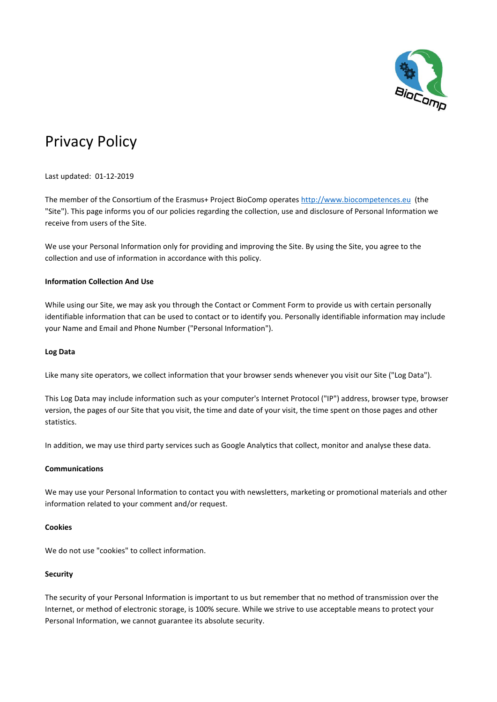

# Privacy Policy

Last updated: 01-12-2019

The member of the Consortium of the Erasmus+ Project BioComp operates [http://www.biocompetences.eu](http://www.biocompetences.eu/) (the "Site"). This page informs you of our policies regarding the collection, use and disclosure of Personal Information we receive from users of the Site.

We use your Personal Information only for providing and improving the Site. By using the Site, you agree to the collection and use of information in accordance with this policy.

# **Information Collection And Use**

While using our Site, we may ask you through the Contact or Comment Form to provide us with certain personally identifiable information that can be used to contact or to identify you. Personally identifiable information may include your Name and Email and Phone Number ("Personal Information").

# **Log Data**

Like many site operators, we collect information that your browser sends whenever you visit our Site ("Log Data").

This Log Data may include information such as your computer's Internet Protocol ("IP") address, browser type, browser version, the pages of our Site that you visit, the time and date of your visit, the time spent on those pages and other statistics.

In addition, we may use third party services such as Google Analytics that collect, monitor and analyse these data.

# **Communications**

We may use your Personal Information to contact you with newsletters, marketing or promotional materials and other information related to your comment and/or request.

# **Cookies**

We do not use "cookies" to collect information.

# **Security**

The security of your Personal Information is important to us but remember that no method of transmission over the Internet, or method of electronic storage, is 100% secure. While we strive to use acceptable means to protect your Personal Information, we cannot guarantee its absolute security.